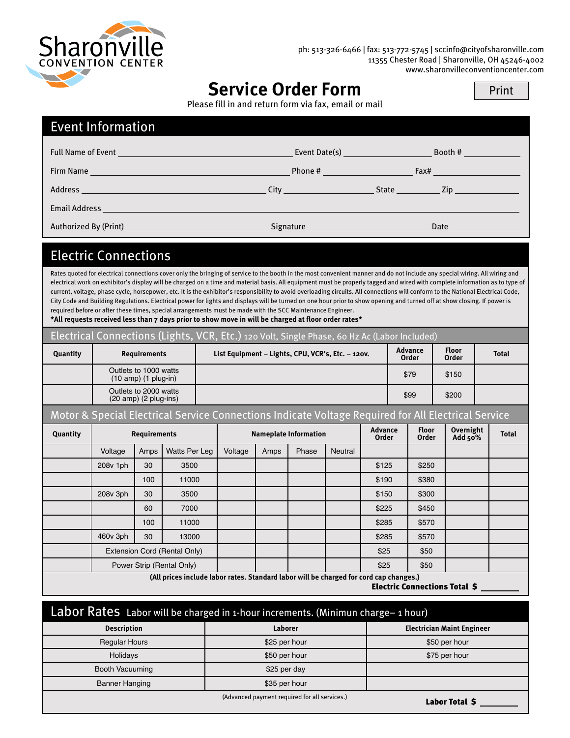

ph: 513-326-6466 | fax: 513-772-5745 | sccinfo@cityofsharonville.com 11355 Chester Road | Sharonville, OH 45246-4002 www.sharonvilleconventioncenter.com

# **Service Order Form**

| Print |  |  |
|-------|--|--|
|       |  |  |
|       |  |  |

Please fill in and return form via fax, email or mail

### Event Information

| <b>Full Name of Event</b><br><u> 1990 - Jan Salaman, manazarta bashkar a shekara ta 1991 - A</u> | Event Date(s) <b>Exercise Server Act 2014</b> |       | Booth #                                                                                                                                                                                                                        |
|--------------------------------------------------------------------------------------------------|-----------------------------------------------|-------|--------------------------------------------------------------------------------------------------------------------------------------------------------------------------------------------------------------------------------|
|                                                                                                  |                                               |       | Fax# Production of the Contract of the Contract of the Contract of the Contract of the Contract of the Contract of the Contract of the Contract of the Contract of the Contract of the Contract of the Contract of the Contrac |
| Address                                                                                          | <b>City City City</b>                         | State | Zip and the contract of the contract of the contract of the contract of the contract of the contract of the co                                                                                                                 |
| <b>Email Address</b>                                                                             |                                               |       |                                                                                                                                                                                                                                |
| Authorized By (Print) <b>Authorized By (Print)</b>                                               | Signature                                     |       | Date                                                                                                                                                                                                                           |

#### Electric Connections

Rates quoted for electrical connections cover only the bringing of service to the booth in the most convenient manner and do not include any special wiring. All wiring and electrical work on exhibitor's display will be charged on a time and material basis. All equipment must be properly tagged and wired with complete information as to type of current, voltage, phase cycle, horsepower, etc. It is the exhibitor's responsibility to avoid overloading circuits. All connections will conform to the National Electrical Code, City Code and Building Regulations. Electrical power for lights and displays will be turned on one hour prior to show opening and turned off at show closing. If power is required before or after these times, special arrangements must be made with the SCC Maintenance Engineer.

**\*All requests received less than 7 days prior to show move in will be charged at floor order rates\***

| Electrical Connections (Lights, VCR, Etc.) 120 Volt, Single Phase, 60 Hz Ac (Labor Included) |                                                                                                     |                                                                    |               |                                                   |                              |      |               |                         |                       |       |                      |              |  |
|----------------------------------------------------------------------------------------------|-----------------------------------------------------------------------------------------------------|--------------------------------------------------------------------|---------------|---------------------------------------------------|------------------------------|------|---------------|-------------------------|-----------------------|-------|----------------------|--------------|--|
| Quantity                                                                                     |                                                                                                     | <b>Requirements</b>                                                |               | List Equipment - Lights, CPU, VCR's, Etc. - 120V. |                              |      |               | <b>Advance</b><br>Order | <b>Floor</b><br>Order |       | <b>Total</b>         |              |  |
|                                                                                              |                                                                                                     | Outlets to 1000 watts<br>$(10$ amp) $(1$ plug-in)                  |               |                                                   |                              |      | \$79          | \$150                   |                       |       |                      |              |  |
|                                                                                              |                                                                                                     | Outlets to 2000 watts<br>$(20 \text{ amp})$ $(2 \text{ plug-ins})$ |               |                                                   |                              |      | \$99<br>\$200 |                         |                       |       |                      |              |  |
|                                                                                              | Motor & Special Electrical Service Connections Indicate Voltage Required for All Electrical Service |                                                                    |               |                                                   |                              |      |               |                         |                       |       |                      |              |  |
| Quantity                                                                                     |                                                                                                     | <b>Requirements</b>                                                |               |                                                   | <b>Nameplate Information</b> |      |               | <b>Advance</b><br>Order | <b>Floor</b><br>Order |       | Overnight<br>Add 50% | <b>Total</b> |  |
|                                                                                              | Voltage                                                                                             | Amps                                                               | Watts Per Leg |                                                   | Voltage                      | Amps | Phase         | Neutral                 |                       |       |                      |              |  |
|                                                                                              | 208v 1ph                                                                                            | 30                                                                 | 3500          |                                                   |                              |      |               |                         | \$125                 | \$250 |                      |              |  |
|                                                                                              |                                                                                                     | 100                                                                | 11000         |                                                   |                              |      |               |                         | \$190                 | \$380 |                      |              |  |
|                                                                                              | 208v 3ph                                                                                            | 30                                                                 | 3500          |                                                   |                              |      |               |                         | \$150                 | \$300 |                      |              |  |
|                                                                                              |                                                                                                     | 60                                                                 | 7000          |                                                   |                              |      |               |                         | \$225                 | \$450 |                      |              |  |
|                                                                                              |                                                                                                     | 100                                                                | 11000         |                                                   |                              |      |               |                         | \$285                 | \$570 |                      |              |  |
|                                                                                              | 460v 3ph                                                                                            | 30                                                                 | 13000         |                                                   |                              |      |               |                         | \$285                 | \$570 |                      |              |  |
|                                                                                              | Extension Cord (Rental Only)                                                                        |                                                                    |               |                                                   |                              |      |               | \$25                    | \$50                  |       |                      |              |  |
|                                                                                              | Power Strip (Rental Only)                                                                           |                                                                    |               |                                                   |                              |      |               |                         | \$25                  | \$50  |                      |              |  |
| (All prices include labor rates. Standard labor will be charged for cord cap changes.)       |                                                                                                     |                                                                    |               |                                                   |                              |      |               |                         |                       |       |                      |              |  |

Electric Connections Total \$

| Labor Rates Labor will be charged in 1-hour increments. (Minimun charge-1 hour) |                                               |                                   |  |  |  |
|---------------------------------------------------------------------------------|-----------------------------------------------|-----------------------------------|--|--|--|
| <b>Description</b>                                                              | Laborer                                       | <b>Electrician Maint Engineer</b> |  |  |  |
| <b>Regular Hours</b>                                                            | \$25 per hour                                 | \$50 per hour                     |  |  |  |
| Holidays                                                                        | \$50 per hour                                 | \$75 per hour                     |  |  |  |
| Booth Vacuuming                                                                 | \$25 per day                                  |                                   |  |  |  |
| <b>Banner Hanging</b>                                                           | \$35 per hour                                 |                                   |  |  |  |
|                                                                                 | (Advanced payment required for all services.) | Labor Total S                     |  |  |  |